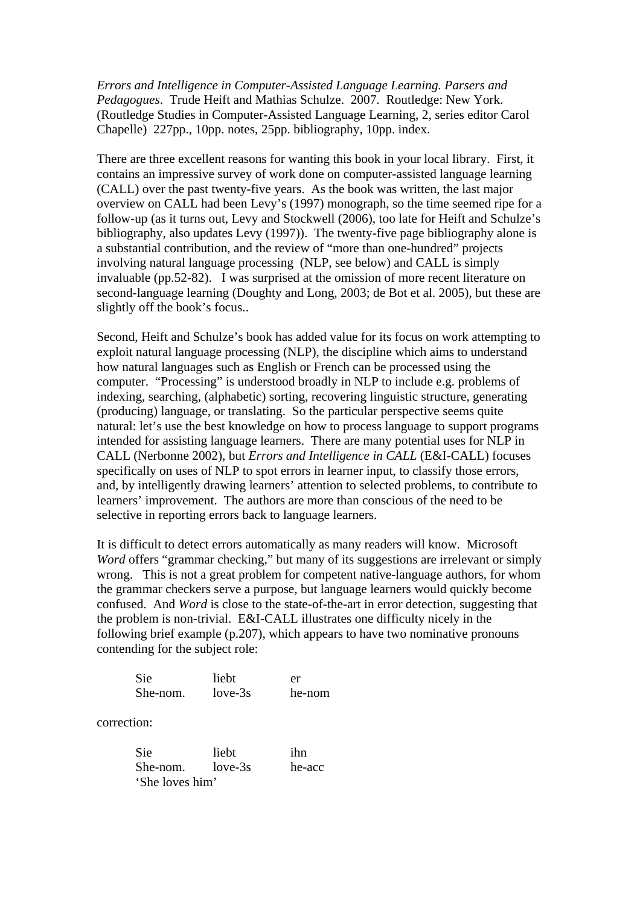*Errors and Intelligence in Computer-Assisted Language Learning. Parsers and Pedagogues*. Trude Heift and Mathias Schulze. 2007. Routledge: New York. (Routledge Studies in Computer-Assisted Language Learning, 2, series editor Carol Chapelle) 227pp., 10pp. notes, 25pp. bibliography, 10pp. index.

There are three excellent reasons for wanting this book in your local library. First, it contains an impressive survey of work done on computer-assisted language learning (CALL) over the past twenty-five years. As the book was written, the last major overview on CALL had been Levy's (1997) monograph, so the time seemed ripe for a follow-up (as it turns out, Levy and Stockwell (2006), too late for Heift and Schulze's bibliography, also updates Levy (1997)). The twenty-five page bibliography alone is a substantial contribution, and the review of "more than one-hundred" projects involving natural language processing (NLP, see below) and CALL is simply invaluable (pp.52-82). I was surprised at the omission of more recent literature on second-language learning (Doughty and Long, 2003; de Bot et al. 2005), but these are slightly off the book's focus..

Second, Heift and Schulze's book has added value for its focus on work attempting to exploit natural language processing (NLP), the discipline which aims to understand how natural languages such as English or French can be processed using the computer. "Processing" is understood broadly in NLP to include e.g. problems of indexing, searching, (alphabetic) sorting, recovering linguistic structure, generating (producing) language, or translating. So the particular perspective seems quite natural: let's use the best knowledge on how to process language to support programs intended for assisting language learners. There are many potential uses for NLP in CALL (Nerbonne 2002), but *Errors and Intelligence in CALL* (E&I-CALL) focuses specifically on uses of NLP to spot errors in learner input, to classify those errors, and, by intelligently drawing learners' attention to selected problems, to contribute to learners' improvement. The authors are more than conscious of the need to be selective in reporting errors back to language learners.

It is difficult to detect errors automatically as many readers will know. Microsoft *Word* offers "grammar checking," but many of its suggestions are irrelevant or simply wrong. This is not a great problem for competent native-language authors, for whom the grammar checkers serve a purpose, but language learners would quickly become confused. And *Word* is close to the state-of-the-art in error detection, suggesting that the problem is non-trivial. E&I-CALL illustrates one difficulty nicely in the following brief example (p.207), which appears to have two nominative pronouns contending for the subject role:

| <b>Sie</b> | liebt     | er     |
|------------|-----------|--------|
| She-nom.   | $love-3s$ | he-nom |

correction:

| <b>Sie</b>       | lieht | ihn    |
|------------------|-------|--------|
| She-nom. love-3s |       | he-acc |
| 'She loves him'  |       |        |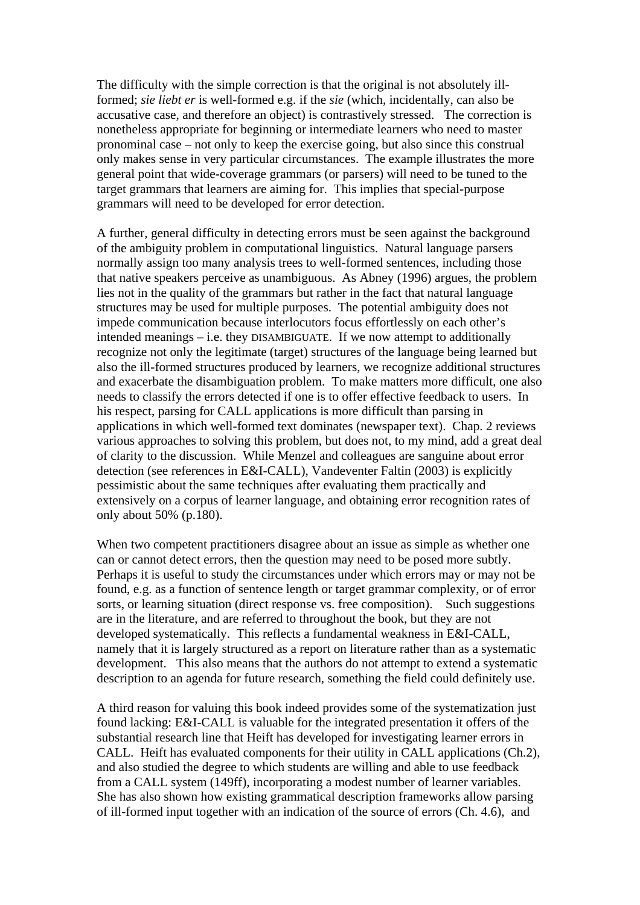The difficulty with the simple correction is that the original is not absolutely illformed; *sie liebt er* is well-formed e.g. if the *sie* (which, incidentally, can also be accusative case, and therefore an object) is contrastively stressed. The correction is nonetheless appropriate for beginning or intermediate learners who need to master pronominal case – not only to keep the exercise going, but also since this construal only makes sense in very particular circumstances. The example illustrates the more general point that wide-coverage grammars (or parsers) will need to be tuned to the target grammars that learners are aiming for. This implies that special-purpose grammars will need to be developed for error detection.

A further, general difficulty in detecting errors must be seen against the background of the ambiguity problem in computational linguistics. Natural language parsers normally assign too many analysis trees to well-formed sentences, including those that native speakers perceive as unambiguous. As Abney (1996) argues, the problem lies not in the quality of the grammars but rather in the fact that natural language structures may be used for multiple purposes. The potential ambiguity does not impede communication because interlocutors focus effortlessly on each other's intended meanings – i.e. they DISAMBIGUATE. If we now attempt to additionally recognize not only the legitimate (target) structures of the language being learned but also the ill-formed structures produced by learners, we recognize additional structures and exacerbate the disambiguation problem. To make matters more difficult, one also needs to classify the errors detected if one is to offer effective feedback to users. In his respect, parsing for CALL applications is more difficult than parsing in applications in which well-formed text dominates (newspaper text). Chap. 2 reviews various approaches to solving this problem, but does not, to my mind, add a great deal of clarity to the discussion. While Menzel and colleagues are sanguine about error detection (see references in E&I-CALL), Vandeventer Faltin (2003) is explicitly pessimistic about the same techniques after evaluating them practically and extensively on a corpus of learner language, and obtaining error recognition rates of only about 50% (p.180).

When two competent practitioners disagree about an issue as simple as whether one can or cannot detect errors, then the question may need to be posed more subtly. Perhaps it is useful to study the circumstances under which errors may or may not be found, e.g. as a function of sentence length or target grammar complexity, or of error sorts, or learning situation (direct response vs. free composition). Such suggestions are in the literature, and are referred to throughout the book, but they are not developed systematically. This reflects a fundamental weakness in E&I-CALL, namely that it is largely structured as a report on literature rather than as a systematic development. This also means that the authors do not attempt to extend a systematic description to an agenda for future research, something the field could definitely use.

A third reason for valuing this book indeed provides some of the systematization just found lacking: E&I-CALL is valuable for the integrated presentation it offers of the substantial research line that Heift has developed for investigating learner errors in CALL. Heift has evaluated components for their utility in CALL applications (Ch.2), and also studied the degree to which students are willing and able to use feedback from a CALL system (149ff), incorporating a modest number of learner variables. She has also shown how existing grammatical description frameworks allow parsing of ill-formed input together with an indication of the source of errors (Ch. 4.6), and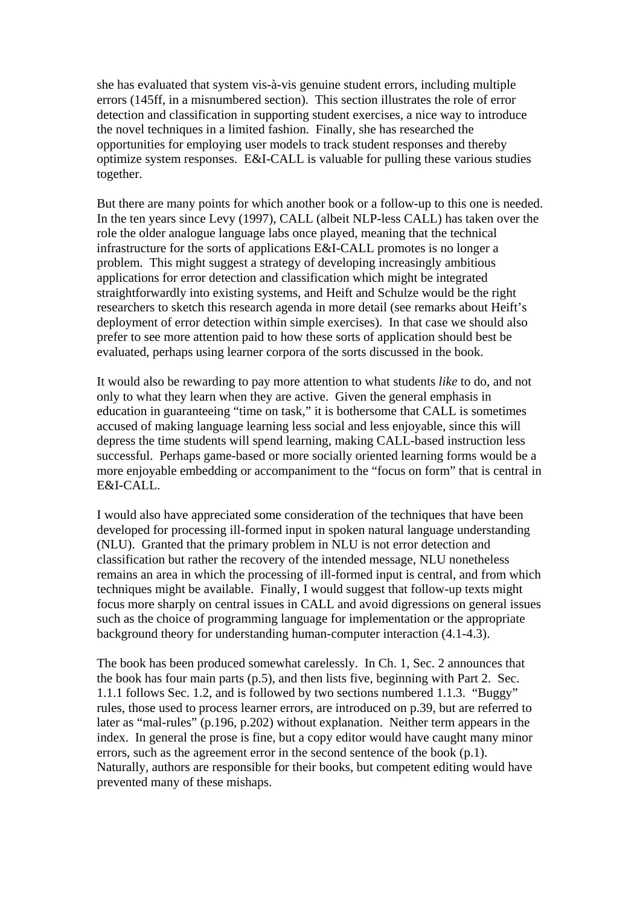she has evaluated that system vis-à-vis genuine student errors, including multiple errors (145ff, in a misnumbered section). This section illustrates the role of error detection and classification in supporting student exercises, a nice way to introduce the novel techniques in a limited fashion. Finally, she has researched the opportunities for employing user models to track student responses and thereby optimize system responses. E&I-CALL is valuable for pulling these various studies together.

But there are many points for which another book or a follow-up to this one is needed. In the ten years since Levy (1997), CALL (albeit NLP-less CALL) has taken over the role the older analogue language labs once played, meaning that the technical infrastructure for the sorts of applications E&I-CALL promotes is no longer a problem. This might suggest a strategy of developing increasingly ambitious applications for error detection and classification which might be integrated straightforwardly into existing systems, and Heift and Schulze would be the right researchers to sketch this research agenda in more detail (see remarks about Heift's deployment of error detection within simple exercises). In that case we should also prefer to see more attention paid to how these sorts of application should best be evaluated, perhaps using learner corpora of the sorts discussed in the book.

It would also be rewarding to pay more attention to what students *like* to do, and not only to what they learn when they are active. Given the general emphasis in education in guaranteeing "time on task," it is bothersome that CALL is sometimes accused of making language learning less social and less enjoyable, since this will depress the time students will spend learning, making CALL-based instruction less successful. Perhaps game-based or more socially oriented learning forms would be a more enjoyable embedding or accompaniment to the "focus on form" that is central in E&I-CALL.

I would also have appreciated some consideration of the techniques that have been developed for processing ill-formed input in spoken natural language understanding (NLU). Granted that the primary problem in NLU is not error detection and classification but rather the recovery of the intended message, NLU nonetheless remains an area in which the processing of ill-formed input is central, and from which techniques might be available. Finally, I would suggest that follow-up texts might focus more sharply on central issues in CALL and avoid digressions on general issues such as the choice of programming language for implementation or the appropriate background theory for understanding human-computer interaction (4.1-4.3).

The book has been produced somewhat carelessly. In Ch. 1, Sec. 2 announces that the book has four main parts (p.5), and then lists five, beginning with Part 2. Sec. 1.1.1 follows Sec. 1.2, and is followed by two sections numbered 1.1.3. "Buggy" rules, those used to process learner errors, are introduced on p.39, but are referred to later as "mal-rules" (p.196, p.202) without explanation. Neither term appears in the index. In general the prose is fine, but a copy editor would have caught many minor errors, such as the agreement error in the second sentence of the book (p.1). Naturally, authors are responsible for their books, but competent editing would have prevented many of these mishaps.